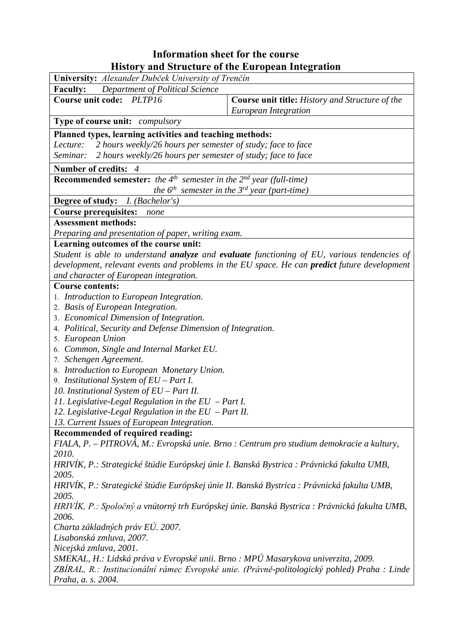## **Information sheet for the course History and Structure of the European Integration**

| Department of Political Science<br><b>Faculty:</b><br><b>Course unit code:</b><br>PLTP <sub>16</sub><br>Course unit title: History and Structure of the<br>European Integration<br><b>Type of course unit:</b> <i>compulsory</i> |  |  |  |  |  |  |
|----------------------------------------------------------------------------------------------------------------------------------------------------------------------------------------------------------------------------------|--|--|--|--|--|--|
|                                                                                                                                                                                                                                  |  |  |  |  |  |  |
|                                                                                                                                                                                                                                  |  |  |  |  |  |  |
|                                                                                                                                                                                                                                  |  |  |  |  |  |  |
|                                                                                                                                                                                                                                  |  |  |  |  |  |  |
| Planned types, learning activities and teaching methods:                                                                                                                                                                         |  |  |  |  |  |  |
| 2 hours weekly/26 hours per semester of study; face to face<br>Lecture:                                                                                                                                                          |  |  |  |  |  |  |
| 2 hours weekly/26 hours per semester of study; face to face<br>Seminar:                                                                                                                                                          |  |  |  |  |  |  |
| Number of credits: 4                                                                                                                                                                                                             |  |  |  |  |  |  |
| <b>Recommended semester:</b> the 4 <sup>th</sup> semester in the $2^{nd}$ year (full-time)                                                                                                                                       |  |  |  |  |  |  |
| the $6^{th}$ semester in the $3^{rd}$ year (part-time)                                                                                                                                                                           |  |  |  |  |  |  |
| Degree of study: <i>I. (Bachelor's)</i>                                                                                                                                                                                          |  |  |  |  |  |  |
| <b>Course prerequisites:</b><br>none                                                                                                                                                                                             |  |  |  |  |  |  |
| <b>Assessment methods:</b>                                                                                                                                                                                                       |  |  |  |  |  |  |
| Preparing and presentation of paper, writing exam.                                                                                                                                                                               |  |  |  |  |  |  |
| Learning outcomes of the course unit:                                                                                                                                                                                            |  |  |  |  |  |  |
| Student is able to understand <b>analyze</b> and evaluate functioning of EU, various tendencies of                                                                                                                               |  |  |  |  |  |  |
| development, relevant events and problems in the EU space. He can <b>predict</b> future development                                                                                                                              |  |  |  |  |  |  |
| and character of European integration.                                                                                                                                                                                           |  |  |  |  |  |  |
| <b>Course contents:</b>                                                                                                                                                                                                          |  |  |  |  |  |  |
| 1. Introduction to European Integration.                                                                                                                                                                                         |  |  |  |  |  |  |
| 2. Basis of European Integration.                                                                                                                                                                                                |  |  |  |  |  |  |
| 3. Economical Dimension of Integration.                                                                                                                                                                                          |  |  |  |  |  |  |
| 4. Political, Security and Defense Dimension of Integration.                                                                                                                                                                     |  |  |  |  |  |  |
| 5. European Union                                                                                                                                                                                                                |  |  |  |  |  |  |
| 6. Common, Single and Internal Market EU.                                                                                                                                                                                        |  |  |  |  |  |  |
| 7. Schengen Agreement.                                                                                                                                                                                                           |  |  |  |  |  |  |
| 8. Introduction to European Monetary Union.                                                                                                                                                                                      |  |  |  |  |  |  |
| 9. Institutional System of $EU$ – Part I.                                                                                                                                                                                        |  |  |  |  |  |  |
| 10. Institutional System of EU - Part II.                                                                                                                                                                                        |  |  |  |  |  |  |
| 11. Legislative-Legal Regulation in the $EU$ – Part I.                                                                                                                                                                           |  |  |  |  |  |  |
| 12. Legislative-Legal Regulation in the $EU$ – Part II.                                                                                                                                                                          |  |  |  |  |  |  |
| 13. Current Issues of European Integration.                                                                                                                                                                                      |  |  |  |  |  |  |
| Recommended of required reading:                                                                                                                                                                                                 |  |  |  |  |  |  |
| FIALA, P. – PITROVÁ, M.: Evropská unie. Brno : Centrum pro studium demokracie a kultury,                                                                                                                                         |  |  |  |  |  |  |
| 2010.                                                                                                                                                                                                                            |  |  |  |  |  |  |
| HRIVÍK, P.: Strategické štúdie Európskej únie I. Banská Bystrica : Právnická fakulta UMB,                                                                                                                                        |  |  |  |  |  |  |
| 2005.                                                                                                                                                                                                                            |  |  |  |  |  |  |
| HRIVÍK, P.: Strategické štúdie Európskej únie II. Banská Bystrica : Právnická fakulta UMB,                                                                                                                                       |  |  |  |  |  |  |
| 2005.                                                                                                                                                                                                                            |  |  |  |  |  |  |
| HRIVÍK, P.: Spoločný a vnútorný trh Európskej únie. Banská Bystrica : Právnická fakulta UMB,                                                                                                                                     |  |  |  |  |  |  |
| 2006.                                                                                                                                                                                                                            |  |  |  |  |  |  |
| Charta základných práv EÚ. 2007.                                                                                                                                                                                                 |  |  |  |  |  |  |
| Lisabonská zmluva, 2007.                                                                                                                                                                                                         |  |  |  |  |  |  |
| Nicejská zmluva, 2001.                                                                                                                                                                                                           |  |  |  |  |  |  |
| SMEKAL, H.: Lidská práva v Evropské unii. Brno : MPÚ Masarykova univerzita, 2009.                                                                                                                                                |  |  |  |  |  |  |
| ZBÍRAL, R.: Institucionální rámec Evropské unie. (Právně-politologický pohled) Praha : Linde                                                                                                                                     |  |  |  |  |  |  |
| Praha, a. s. 2004.                                                                                                                                                                                                               |  |  |  |  |  |  |